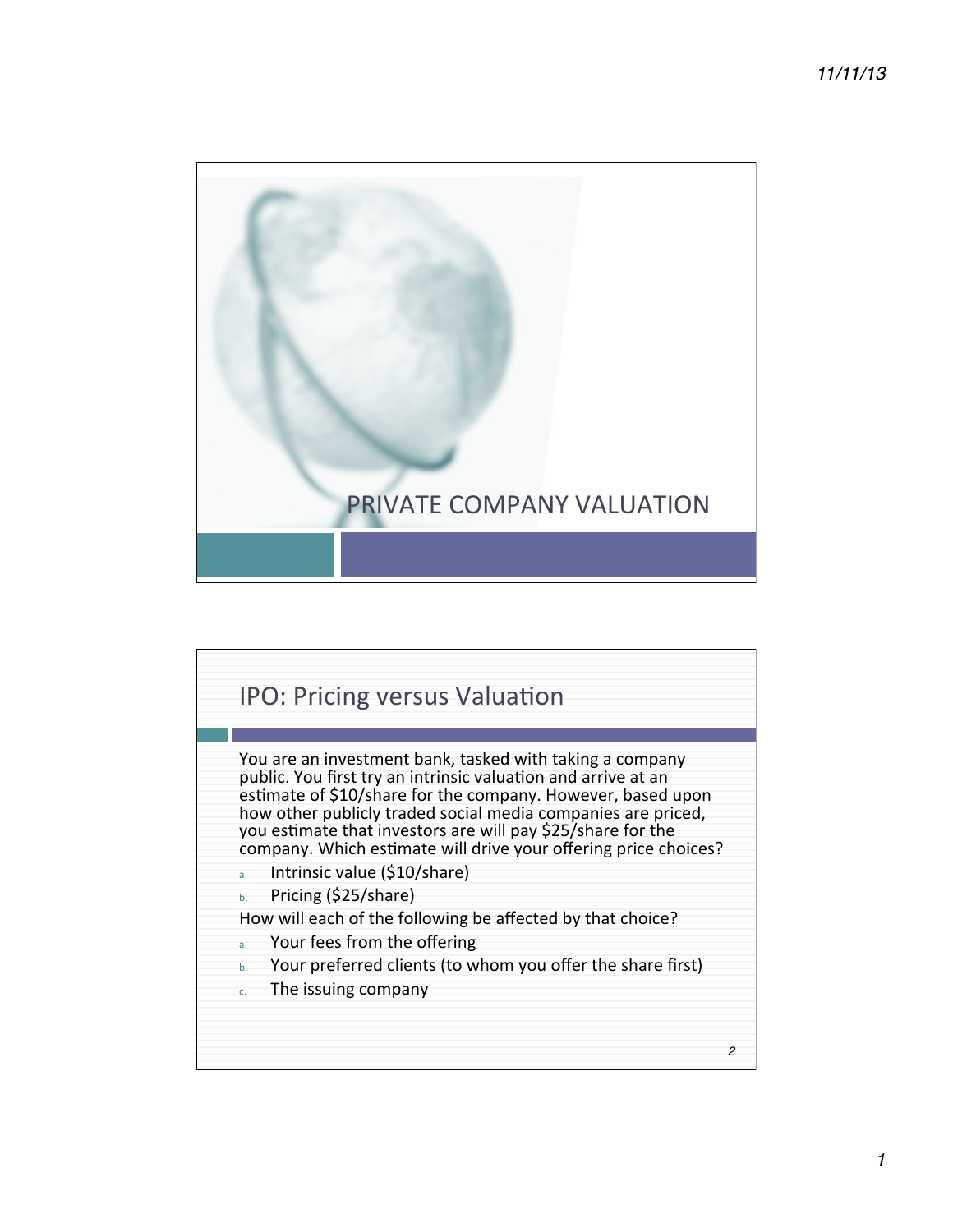